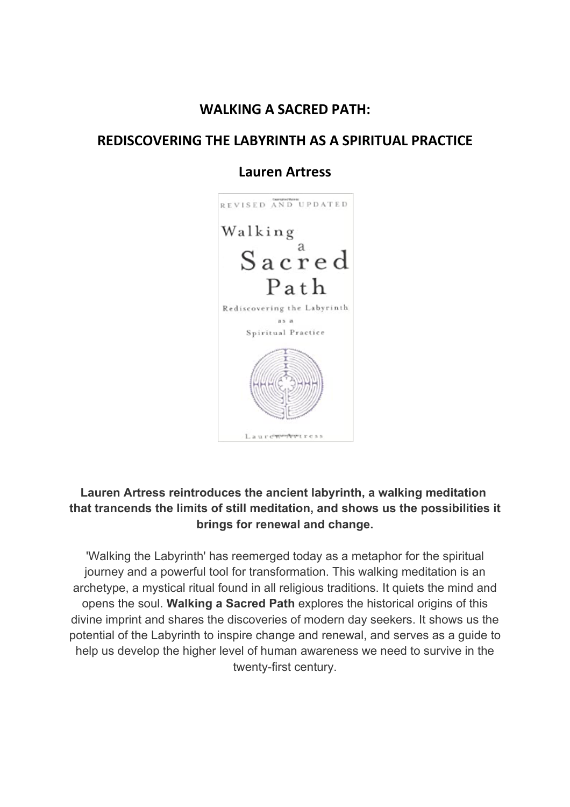#### **WALKING A SACRED PATH:**

#### **REDISCOVERING THE LABYRINTH AS A SPIRITUAL PRACTICE**

#### **Lauren Artress**



#### **Lauren Artress reintroduces the ancient labyrinth, a walking meditation that trancends the limits of still meditation, and shows us the possibilities it brings for renewal and change.**

'Walking the Labyrinth' has reemerged today as a metaphor for the spiritual journey and a powerful tool for transformation. This walking meditation is an archetype, a mystical ritual found in all religious traditions. It quiets the mind and opens the soul. **Walking a Sacred Path** explores the historical origins of this divine imprint and shares the discoveries of modern day seekers. It shows us the potential of the Labyrinth to inspire change and renewal, and serves as a guide to help us develop the higher level of human awareness we need to survive in the twenty-first century.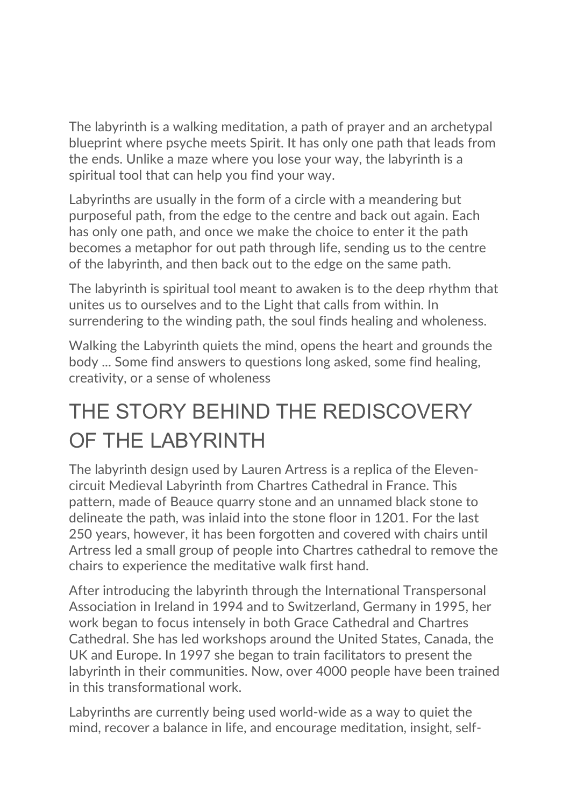The labyrinth is a walking meditation, a path of prayer and an archetypal blueprint where psyche meets Spirit. It has only one path that leads from the ends. Unlike a maze where you lose your way, the labyrinth is a spiritual tool that can help you find your way.

Labyrinths are usually in the form of a circle with a meandering but purposeful path, from the edge to the centre and back out again. Each has only one path, and once we make the choice to enter it the path becomes a metaphor for out path through life, sending us to the centre of the labyrinth, and then back out to the edge on the same path.

The labyrinth is spiritual tool meant to awaken is to the deep rhythm that unites us to ourselves and to the Light that calls from within. In surrendering to the winding path, the soul finds healing and wholeness.

Walking the Labyrinth quiets the mind, opens the heart and grounds the body ... Some find answers to questions long asked, some find healing, creativity, or a sense of wholeness

## THE STORY BEHIND THE REDISCOVERY OF THE LABYRINTH

The labyrinth design used by Lauren Artress is a replica of the Elevencircuit Medieval Labyrinth from Chartres Cathedral in France. This pattern, made of Beauce quarry stone and an unnamed black stone to delineate the path, was inlaid into the stone floor in 1201. For the last 250 years, however, it has been forgotten and covered with chairs until Artress led a small group of people into Chartres cathedral to remove the chairs to experience the meditative walk first hand.

After introducing the labyrinth through the International Transpersonal Association in Ireland in 1994 and to Switzerland, Germany in 1995, her work began to focus intensely in both Grace Cathedral and Chartres Cathedral. She has led workshops around the United States, Canada, the UK and Europe. In 1997 she began to train facilitators to present the labyrinth in their communities. Now, over 4000 people have been trained in this transformational work.

Labyrinths are currently being used world-wide as a way to quiet the mind, recover a balance in life, and encourage meditation, insight, self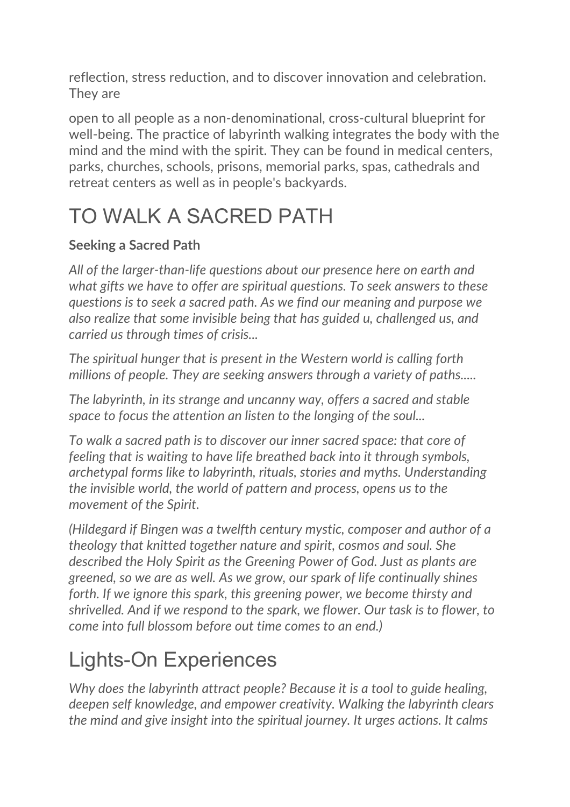reflection, stress reduction, and to discover innovation and celebration. They are

open to all people as a non-denominational, cross-cultural blueprint for well-being. The practice of labyrinth walking integrates the body with the mind and the mind with the spirit. They can be found in medical centers, parks, churches, schools, prisons, memorial parks, spas, cathedrals and retreat centers as well as in people's backyards.

# TO WALK A SACRED PATH

## **Seeking a Sacred Path**

*All of the larger-than-life questions about our presence here on earth and what gifts we have to offer are spiritual questions. To seek answers to these questions is to seek a sacred path. As we find our meaning and purpose we also realize that some invisible being that has guided u, challenged us, and carried us through times of crisis...*

*The spiritual hunger that is present in the Western world is calling forth millions of people. They are seeking answers through a variety of paths.....*

*The labyrinth, in its strange and uncanny way, offers a sacred and stable space to focus the attention an listen to the longing of the soul...*

*To walk a sacred path is to discover our inner sacred space: that core of feeling that is waiting to have life breathed back into it through symbols, archetypal forms like to labyrinth, rituals, stories and myths. Understanding the invisible world, the world of pattern and process, opens us to the movement of the Spirit.*

*(Hildegard if Bingen was a twelfth century mystic, composer and author of a theology that knitted together nature and spirit, cosmos and soul. She described the Holy Spirit as the Greening Power of God. Just as plants are greened, so we are as well. As we grow, our spark of life continually shines*  forth. If we ignore this spark, this greening power, we become thirsty and *shrivelled. And if we respond to the spark, we flower. Our task is to flower, to come into full blossom before out time comes to an end.)*

## Lights-On Experiences

*Why does the labyrinth attract people? Because it is a tool to guide healing, deepen self knowledge, and empower creativity. Walking the labyrinth clears the mind and give insight into the spiritual journey. It urges actions. It calms*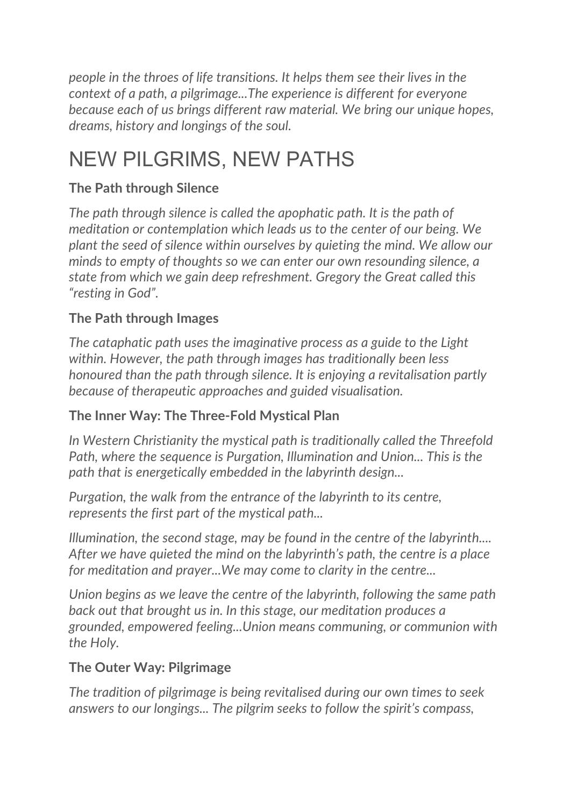*people in the throes of life transitions. It helps them see their lives in the context of a path, a pilgrimage...The experience is different for everyone because each of us brings different raw material. We bring our unique hopes, dreams, history and longings of the soul.* 

## NEW PILGRIMS, NEW PATHS

## **The Path through Silence**

*The path through silence is called the apophatic path. It is the path of meditation or contemplation which leads us to the center of our being. We plant the seed of silence within ourselves by quieting the mind. We allow our minds to empty of thoughts so we can enter our own resounding silence, a state from which we gain deep refreshment. Gregory the Great called this "resting in God".*

## **The Path through Images**

*The cataphatic path uses the imaginative process as a guide to the Light within. However, the path through images has traditionally been less honoured than the path through silence. It is enjoying a revitalisation partly because of therapeutic approaches and guided visualisation.*

## **The Inner Way: The Three-Fold Mystical Plan**

*In Western Christianity the mystical path is traditionally called the Threefold Path, where the sequence is Purgation, Illumination and Union... This is the path that is energetically embedded in the labyrinth design...*

*Purgation, the walk from the entrance of the labyrinth to its centre, represents the first part of the mystical path...*

*Illumination, the second stage, may be found in the centre of the labyrinth.... After we have quieted the mind on the labyrinth's path, the centre is a place for meditation and prayer...We may come to clarity in the centre...*

*Union begins as we leave the centre of the labyrinth, following the same path back out that brought us in. In this stage, our meditation produces a grounded, empowered feeling...Union means communing, or communion with the Holy.*

## **The Outer Way: Pilgrimage**

*The tradition of pilgrimage is being revitalised during our own times to seek answers to our longings... The pilgrim seeks to follow the spirit's compass,*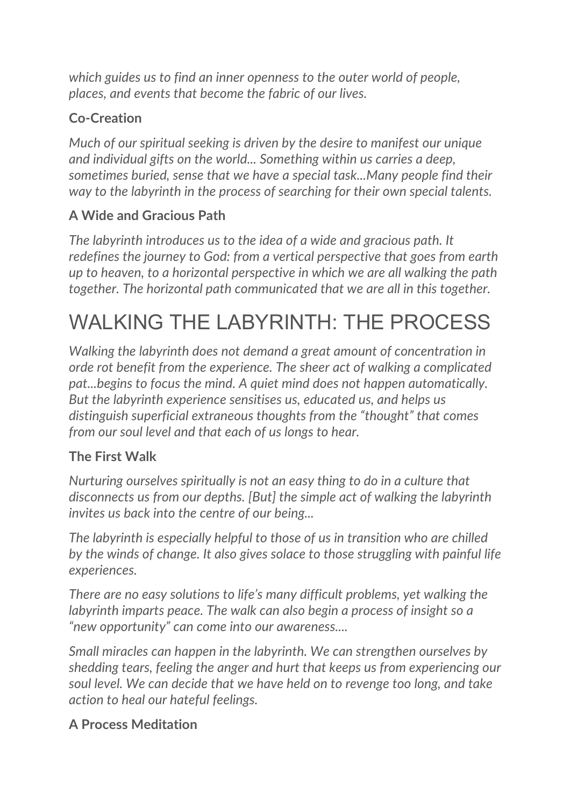*which guides us to find an inner openness to the outer world of people, places, and events that become the fabric of our lives.*

## **Co-Creation**

*Much of our spiritual seeking is driven by the desire to manifest our unique and individual gifts on the world... Something within us carries a deep, sometimes buried, sense that we have a special task...Many people find their way to the labyrinth in the process of searching for their own special talents.*

## **A Wide and Gracious Path**

*The labyrinth introduces us to the idea of a wide and gracious path. It redefines the journey to God: from a vertical perspective that goes from earth up to heaven, to a horizontal perspective in which we are all walking the path together. The horizontal path communicated that we are all in this together.*

# WALKING THE LABYRINTH: THE PROCESS

*Walking the labyrinth does not demand a great amount of concentration in orde rot benefit from the experience. The sheer act of walking a complicated pat...begins to focus the mind. A quiet mind does not happen automatically. But the labyrinth experience sensitises us, educated us, and helps us distinguish superficial extraneous thoughts from the "thought" that comes from our soul level and that each of us longs to hear.*

## **The First Walk**

*Nurturing ourselves spiritually is not an easy thing to do in a culture that disconnects us from our depths. [But] the simple act of walking the labyrinth invites us back into the centre of our being...*

*The labyrinth is especially helpful to those of us in transition who are chilled by the winds of change. It also gives solace to those struggling with painful life experiences.*

*There are no easy solutions to life's many difficult problems, yet walking the labyrinth imparts peace. The walk can also begin a process of insight so a "new opportunity" can come into our awareness....*

*Small miracles can happen in the labyrinth. We can strengthen ourselves by shedding tears, feeling the anger and hurt that keeps us from experiencing our soul level. We can decide that we have held on to revenge too long, and take action to heal our hateful feelings.*

## **A Process Meditation**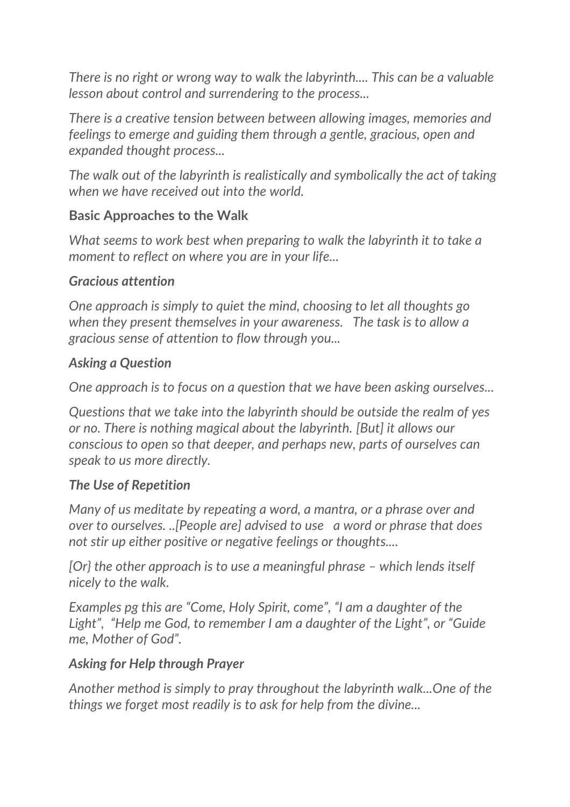*There is no right or wrong way to walk the labyrinth.... This can be a valuable lesson about control and surrendering to the process...*

*There is a creative tension between between allowing images, memories and feelings to emerge and guiding them through a gentle, gracious, open and expanded thought process...*

*The walk out of the labyrinth is realistically and symbolically the act of taking when we have received out into the world.*

#### **Basic Approaches to the Walk**

*What seems to work best when preparing to walk the labyrinth it to take a moment to reflect on where you are in your life...*

#### *Gracious attention*

*One approach is simply to quiet the mind, choosing to let all thoughts go when they present themselves in your awareness. The task is to allow a gracious sense of attention to flow through you...*

#### *Asking a Question*

*One approach is to focus on a question that we have been asking ourselves...*

*Questions that we take into the labyrinth should be outside the realm of yes or no. There is nothing magical about the labyrinth. [But] it allows our conscious to open so that deeper, and perhaps new, parts of ourselves can speak to us more directly.*

#### *The Use of Repetition*

*Many of us meditate by repeating a word, a mantra, or a phrase over and over to ourselves. ..[People are] advised to use a word or phrase that does not stir up either positive or negative feelings or thoughts....*

*[Or} the other approach is to use a meaningful phrase – which lends itself nicely to the walk.*

*Examples pg this are "Come, Holy Spirit, come", "I am a daughter of the Light", "Help me God, to remember I am a daughter of the Light", or "Guide me, Mother of God".*

#### *Asking for Help through Prayer*

*Another method is simply to pray throughout the labyrinth walk...One of the things we forget most readily is to ask for help from the divine...*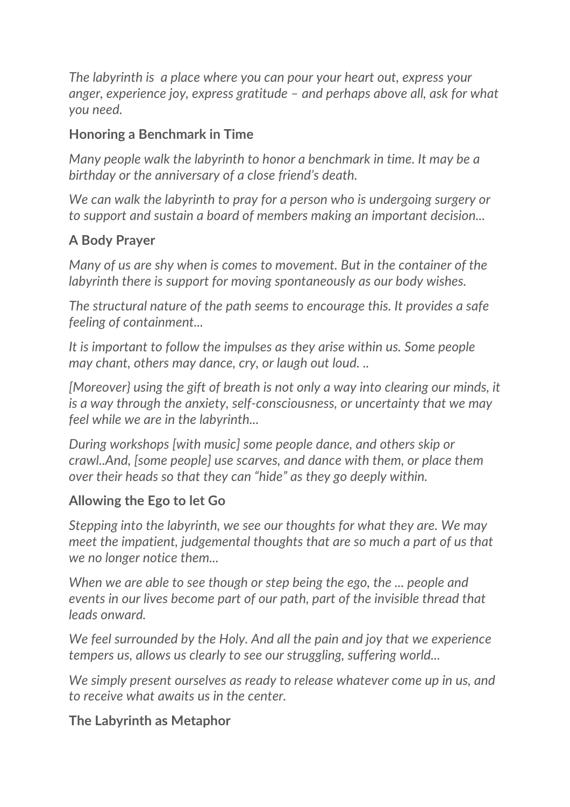*The labyrinth is a place where you can pour your heart out, express your anger, experience joy, express gratitude – and perhaps above all, ask for what you need.*

### **Honoring a Benchmark in Time**

*Many people walk the labyrinth to honor a benchmark in time. It may be a birthday or the anniversary of a close friend's death.*

*We can walk the labyrinth to pray for a person who is undergoing surgery or to support and sustain a board of members making an important decision...*

#### **A Body Prayer**

*Many of us are shy when is comes to movement. But in the container of the labyrinth there is support for moving spontaneously as our body wishes.*

*The structural nature of the path seems to encourage this. It provides a safe feeling of containment...*

*It is important to follow the impulses as they arise within us. Some people may chant, others may dance, cry, or laugh out loud. ..*

*[Moreover} using the gift of breath is not only a way into clearing our minds, it is a way through the anxiety, self-consciousness, or uncertainty that we may feel while we are in the labyrinth...*

*During workshops [with music] some people dance, and others skip or crawl..And, [some people] use scarves, and dance with them, or place them over their heads so that they can "hide" as they go deeply within.*

#### **Allowing the Ego to let Go**

*Stepping into the labyrinth, we see our thoughts for what they are. We may meet the impatient, judgemental thoughts that are so much a part of us that we no longer notice them...*

*When we are able to see though or step being the ego, the ... people and events in our lives become part of our path, part of the invisible thread that leads onward.*

*We feel surrounded by the Holy. And all the pain and joy that we experience tempers us, allows us clearly to see our struggling, suffering world...*

*We simply present ourselves as ready to release whatever come up in us, and to receive what awaits us in the center.*

#### **The Labyrinth as Metaphor**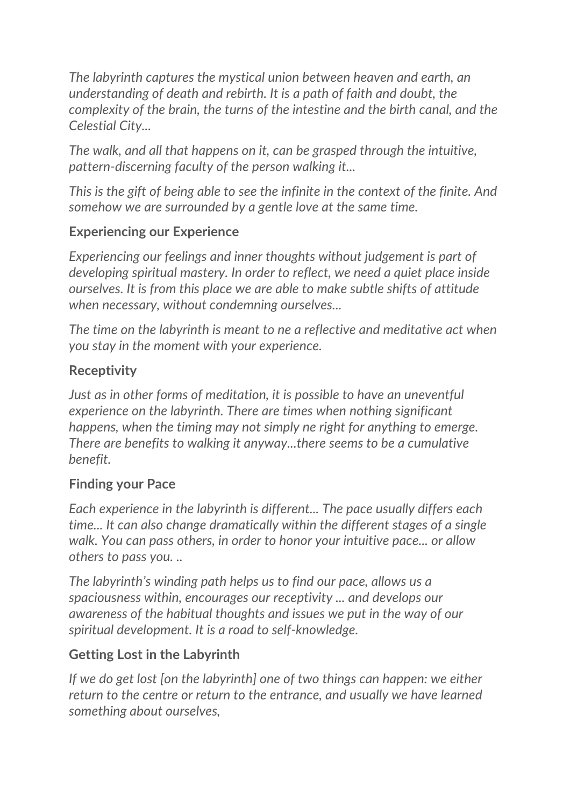*The labyrinth captures the mystical union between heaven and earth, an understanding of death and rebirth. It is a path of faith and doubt, the complexity of the brain, the turns of the intestine and the birth canal, and the Celestial City...*

*The walk, and all that happens on it, can be grasped through the intuitive, pattern-discerning faculty of the person walking it...*

*This is the gift of being able to see the infinite in the context of the finite. And somehow we are surrounded by a gentle love at the same time.*

#### **Experiencing our Experience**

*Experiencing our feelings and inner thoughts without judgement is part of developing spiritual mastery. In order to reflect, we need a quiet place inside ourselves. It is from this place we are able to make subtle shifts of attitude when necessary, without condemning ourselves...*

*The time on the labyrinth is meant to ne a reflective and meditative act when you stay in the moment with your experience.*

#### **Receptivity**

*Just as in other forms of meditation, it is possible to have an uneventful experience on the labyrinth. There are times when nothing significant happens, when the timing may not simply ne right for anything to emerge. There are benefits to walking it anyway...there seems to be a cumulative benefit.*

#### **Finding your Pace**

*Each experience in the labyrinth is different... The pace usually differs each time... It can also change dramatically within the different stages of a single walk. You can pass others, in order to honor your intuitive pace... or allow others to pass you. ..*

*The labyrinth's winding path helps us to find our pace, allows us a spaciousness within, encourages our receptivity ... and develops our awareness of the habitual thoughts and issues we put in the way of our spiritual development. It is a road to self-knowledge.*

## **Getting Lost in the Labyrinth**

*If we do get lost [on the labyrinth] one of two things can happen: we either return to the centre or return to the entrance, and usually we have learned something about ourselves,*